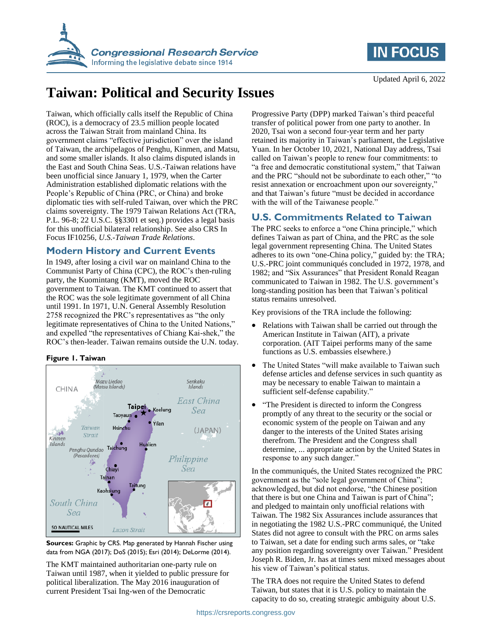



Updated April 6, 2022

# **Taiwan: Political and Security Issues**

Taiwan, which officially calls itself the Republic of China (ROC), is a democracy of 23.5 million people located across the Taiwan Strait from mainland China. Its government claims "effective jurisdiction" over the island of Taiwan, the archipelagos of Penghu, Kinmen, and Matsu, and some smaller islands. It also claims disputed islands in the East and South China Seas. U.S.-Taiwan relations have been unofficial since January 1, 1979, when the Carter Administration established diplomatic relations with the People's Republic of China (PRC, or China) and broke diplomatic ties with self-ruled Taiwan, over which the PRC claims sovereignty. The 1979 Taiwan Relations Act (TRA, P.L. 96-8; 22 U.S.C. §§3301 et seq.) provides a legal basis for this unofficial bilateral relationship. See also CRS In Focus IF10256, *U.S.-Taiwan Trade Relations*.

## **Modern History and Current Events**

In 1949, after losing a civil war on mainland China to the Communist Party of China (CPC), the ROC's then-ruling party, the Kuomintang (KMT), moved the ROC government to Taiwan. The KMT continued to assert that the ROC was the sole legitimate government of all China until 1991. In 1971, U.N. General Assembly Resolution 2758 recognized the PRC's representatives as "the only legitimate representatives of China to the United Nations," and expelled "the representatives of Chiang Kai-shek," the ROC's then-leader. Taiwan remains outside the U.N. today.

#### **Figure 1. Taiwan**





The KMT maintained authoritarian one-party rule on Taiwan until 1987, when it yielded to public pressure for political liberalization. The May 2016 inauguration of current President Tsai Ing-wen of the Democratic

Progressive Party (DPP) marked Taiwan's third peaceful transfer of political power from one party to another. In 2020, Tsai won a second four-year term and her party retained its majority in Taiwan's parliament, the Legislative Yuan. In her October 10, 2021, National Day address, Tsai called on Taiwan's people to renew four commitments: to "a free and democratic constitutional system," that Taiwan and the PRC "should not be subordinate to each other," "to resist annexation or encroachment upon our sovereignty," and that Taiwan's future "must be decided in accordance with the will of the Taiwanese people."

## **U.S. Commitments Related to Taiwan**

The PRC seeks to enforce a "one China principle," which defines Taiwan as part of China, and the PRC as the sole legal government representing China. The United States adheres to its own "one-China policy," guided by: the TRA; U.S.-PRC joint communiqués concluded in 1972, 1978, and 1982; and "Six Assurances" that President Ronald Reagan communicated to Taiwan in 1982. The U.S. government's long-standing position has been that Taiwan's political status remains unresolved.

Key provisions of the TRA include the following:

- Relations with Taiwan shall be carried out through the American Institute in Taiwan (AIT), a private corporation. (AIT Taipei performs many of the same functions as U.S. embassies elsewhere.)
- The United States "will make available to Taiwan such defense articles and defense services in such quantity as may be necessary to enable Taiwan to maintain a sufficient self-defense capability."
- "The President is directed to inform the Congress" promptly of any threat to the security or the social or economic system of the people on Taiwan and any danger to the interests of the United States arising therefrom. The President and the Congress shall determine, ... appropriate action by the United States in response to any such danger."

In the communiqués, the United States recognized the PRC government as the "sole legal government of China"; acknowledged, but did not endorse, "the Chinese position that there is but one China and Taiwan is part of China"; and pledged to maintain only unofficial relations with Taiwan. The 1982 Six Assurances include assurances that in negotiating the 1982 U.S.-PRC communiqué, the United States did not agree to consult with the PRC on arms sales to Taiwan, set a date for ending such arms sales, or "take any position regarding sovereignty over Taiwan." President Joseph R. Biden, Jr. has at times sent mixed messages about his view of Taiwan's political status.

The TRA does not require the United States to defend Taiwan, but states that it is U.S. policy to maintain the capacity to do so, creating strategic ambiguity about U.S.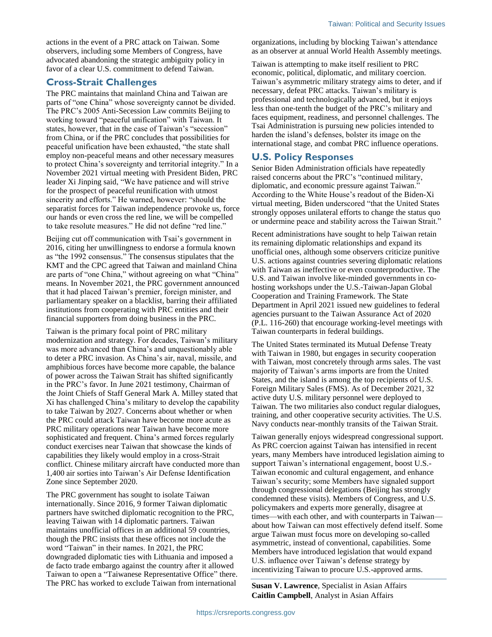actions in the event of a PRC attack on Taiwan. Some observers, including some Members of Congress, have advocated abandoning the strategic ambiguity policy in favor of a clear U.S. commitment to defend Taiwan.

#### **Cross-Strait Challenges**

The PRC maintains that mainland China and Taiwan are parts of "one China" whose sovereignty cannot be divided. The PRC's 2005 Anti-Secession Law commits Beijing to working toward "peaceful unification" with Taiwan. It states, however, that in the case of Taiwan's "secession" from China, or if the PRC concludes that possibilities for peaceful unification have been exhausted, "the state shall employ non-peaceful means and other necessary measures to protect China's sovereignty and territorial integrity." In a November 2021 virtual meeting with President Biden, PRC leader Xi Jinping said, "We have patience and will strive for the prospect of peaceful reunification with utmost sincerity and efforts." He warned, however: "should the separatist forces for Taiwan independence provoke us, force our hands or even cross the red line, we will be compelled to take resolute measures." He did not define "red line."

Beijing cut off communication with Tsai's government in 2016, citing her unwillingness to endorse a formula known as "the 1992 consensus." The consensus stipulates that the KMT and the CPC agreed that Taiwan and mainland China are parts of "one China," without agreeing on what "China" means. In November 2021, the PRC government announced that it had placed Taiwan's premier, foreign minister, and parliamentary speaker on a blacklist, barring their affiliated institutions from cooperating with PRC entities and their financial supporters from doing business in the PRC.

Taiwan is the primary focal point of PRC military modernization and strategy. For decades, Taiwan's military was more advanced than China's and unquestionably able to deter a PRC invasion. As China's air, naval, missile, and amphibious forces have become more capable, the balance of power across the Taiwan Strait has shifted significantly in the PRC's favor. In June 2021 testimony, Chairman of the Joint Chiefs of Staff General Mark A. Milley stated that Xi has challenged China's military to develop the capability to take Taiwan by 2027. Concerns about whether or when the PRC could attack Taiwan have become more acute as PRC military operations near Taiwan have become more sophisticated and frequent. China's armed forces regularly conduct exercises near Taiwan that showcase the kinds of capabilities they likely would employ in a cross-Strait conflict. Chinese military aircraft have conducted more than 1,400 air sorties into Taiwan's Air Defense Identification Zone since September 2020.

The PRC government has sought to isolate Taiwan internationally. Since 2016, 9 former Taiwan diplomatic partners have switched diplomatic recognition to the PRC, leaving Taiwan with 14 diplomatic partners. Taiwan maintains unofficial offices in an additional 59 countries, though the PRC insists that these offices not include the word "Taiwan" in their names. In 2021, the PRC downgraded diplomatic ties with Lithuania and imposed a de facto trade embargo against the country after it allowed Taiwan to open a "Taiwanese Representative Office" there. The PRC has worked to exclude Taiwan from international

organizations, including by blocking Taiwan's attendance as an observer at annual World Health Assembly meetings.

Taiwan is attempting to make itself resilient to PRC economic, political, diplomatic, and military coercion. Taiwan's asymmetric military strategy aims to deter, and if necessary, defeat PRC attacks. Taiwan's military is professional and technologically advanced, but it enjoys less than one-tenth the budget of the PRC's military and faces equipment, readiness, and personnel challenges. The Tsai Administration is pursuing new policies intended to harden the island's defenses, bolster its image on the international stage, and combat PRC influence operations.

### **U.S. Policy Responses**

Senior Biden Administration officials have repeatedly raised concerns about the PRC's "continued military, diplomatic, and economic pressure against Taiwan." According to the White House's readout of the Biden-Xi virtual meeting, Biden underscored "that the United States strongly opposes unilateral efforts to change the status quo or undermine peace and stability across the Taiwan Strait."

Recent administrations have sought to help Taiwan retain its remaining diplomatic relationships and expand its unofficial ones, although some observers criticize punitive U.S. actions against countries severing diplomatic relations with Taiwan as ineffective or even counterproductive. The U.S. and Taiwan involve like-minded governments in cohosting workshops under the U.S.-Taiwan-Japan Global Cooperation and Training Framework. The State Department in April 2021 issued new guidelines to federal agencies pursuant to the Taiwan Assurance Act of 2020 (P.L. 116-260) that encourage working-level meetings with Taiwan counterparts in federal buildings.

The United States terminated its Mutual Defense Treaty with Taiwan in 1980, but engages in security cooperation with Taiwan, most concretely through arms sales. The vast majority of Taiwan's arms imports are from the United States, and the island is among the top recipients of U.S. Foreign Military Sales (FMS). As of December 2021, 32 active duty U.S. military personnel were deployed to Taiwan. The two militaries also conduct regular dialogues, training, and other cooperative security activities. The U.S. Navy conducts near-monthly transits of the Taiwan Strait.

Taiwan generally enjoys widespread congressional support. As PRC coercion against Taiwan has intensified in recent years, many Members have introduced legislation aiming to support Taiwan's international engagement, boost U.S.- Taiwan economic and cultural engagement, and enhance Taiwan's security; some Members have signaled support through congressional delegations (Beijing has strongly condemned these visits). Members of Congress, and U.S. policymakers and experts more generally, disagree at times—with each other, and with counterparts in Taiwan about how Taiwan can most effectively defend itself. Some argue Taiwan must focus more on developing so-called asymmetric, instead of conventional, capabilities. Some Members have introduced legislation that would expand U.S. influence over Taiwan's defense strategy by incentivizing Taiwan to procure U.S.-approved arms.

**Susan V. Lawrence**, Specialist in Asian Affairs **Caitlin Campbell**, Analyst in Asian Affairs